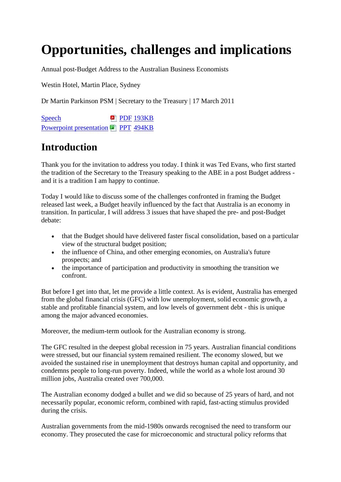# **Opportunities, challenges and implications**

Annual post-Budget Address to the Australian Business Economists

Westin Hotel, Martin Place, Sydney

Dr Martin Parkinson PSM | Secretary to the Treasury | 17 March 2011

[Speech](http://www.treasury.gov.au/%7E/media/Treasury/Publications%20and%20Media/Speeches/2011/Opportunities%20challenges%20and%20implications/Downloads/martin_parkinson_20110517.ashx) **P** [PDF](http://www.treasury.gov.au/%7E/media/Treasury/Publications%20and%20Media/Speeches/2011/Opportunities%20challenges%20and%20implications/Downloads/martin_parkinson_20110517.ashx) [193KB](http://www.treasury.gov.au/%7E/media/Treasury/Publications%20and%20Media/Speeches/2011/Opportunities%20challenges%20and%20implications/Downloads/martin_parkinson_20110517.ashx) [Powerpoint presentation](http://www.treasury.gov.au/%7E/media/Treasury/Publications%20and%20Media/Speeches/2011/Opportunities%20challenges%20and%20implications/Downloads/martin_parkinson_20110517.ashx) **P** [PPT](http://www.treasury.gov.au/%7E/media/Treasury/Publications%20and%20Media/Speeches/2011/Opportunities%20challenges%20and%20implications/Downloads/martin_parkinson_20110517.ashx) [494KB](http://www.treasury.gov.au/%7E/media/Treasury/Publications%20and%20Media/Speeches/2011/Opportunities%20challenges%20and%20implications/Downloads/martin_parkinson_20110517.ashx)

## **Introduction**

Thank you for the invitation to address you today. I think it was Ted Evans, who first started the tradition of the Secretary to the Treasury speaking to the ABE in a post Budget address and it is a tradition I am happy to continue.

Today I would like to discuss some of the challenges confronted in framing the Budget released last week, a Budget heavily influenced by the fact that Australia is an economy in transition. In particular, I will address 3 issues that have shaped the pre- and post-Budget debate:

- that the Budget should have delivered faster fiscal consolidation, based on a particular view of the structural budget position;
- the influence of China, and other emerging economies, on Australia's future prospects; and
- the importance of participation and productivity in smoothing the transition we confront.

But before I get into that, let me provide a little context. As is evident, Australia has emerged from the global financial crisis (GFC) with low unemployment, solid economic growth, a stable and profitable financial system, and low levels of government debt - this is unique among the major advanced economies.

Moreover, the medium-term outlook for the Australian economy is strong.

The GFC resulted in the deepest global recession in 75 years. Australian financial conditions were stressed, but our financial system remained resilient. The economy slowed, but we avoided the sustained rise in unemployment that destroys human capital and opportunity, and condemns people to long-run poverty. Indeed, while the world as a whole lost around 30 million jobs, Australia created over 700,000.

The Australian economy dodged a bullet and we did so because of 25 years of hard, and not necessarily popular, economic reform, combined with rapid, fast-acting stimulus provided during the crisis.

Australian governments from the mid-1980s onwards recognised the need to transform our economy. They prosecuted the case for microeconomic and structural policy reforms that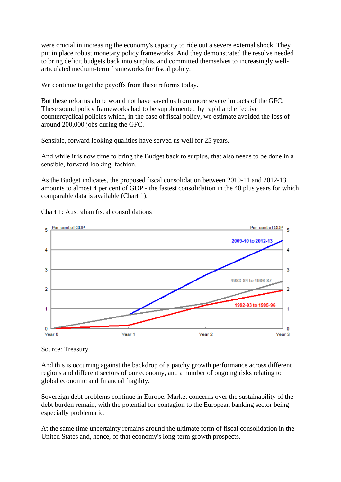were crucial in increasing the economy's capacity to ride out a severe external shock. They put in place robust monetary policy frameworks. And they demonstrated the resolve needed to bring deficit budgets back into surplus, and committed themselves to increasingly wellarticulated medium-term frameworks for fiscal policy.

We continue to get the payoffs from these reforms today.

But these reforms alone would not have saved us from more severe impacts of the GFC. These sound policy frameworks had to be supplemented by rapid and effective countercyclical policies which, in the case of fiscal policy, we estimate avoided the loss of around 200,000 jobs during the GFC.

Sensible, forward looking qualities have served us well for 25 years.

And while it is now time to bring the Budget back to surplus, that also needs to be done in a sensible, forward looking, fashion.

As the Budget indicates, the proposed fiscal consolidation between 2010-11 and 2012-13 amounts to almost 4 per cent of GDP - the fastest consolidation in the 40 plus years for which comparable data is available (Chart 1).



Chart 1: Australian fiscal consolidations

Source: Treasury.

And this is occurring against the backdrop of a patchy growth performance across different regions and different sectors of our economy, and a number of ongoing risks relating to global economic and financial fragility.

Sovereign debt problems continue in Europe. Market concerns over the sustainability of the debt burden remain, with the potential for contagion to the European banking sector being especially problematic.

At the same time uncertainty remains around the ultimate form of fiscal consolidation in the United States and, hence, of that economy's long-term growth prospects.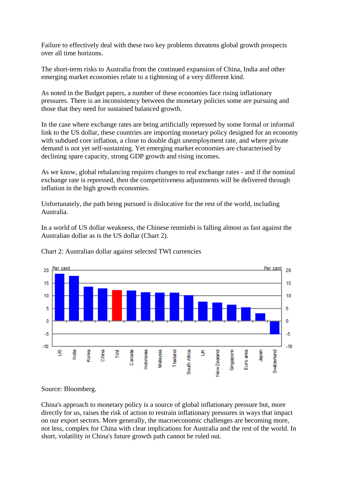Failure to effectively deal with these two key problems threatens global growth prospects over all time horizons.

The short-term risks to Australia from the continued expansion of China, India and other emerging market economies relate to a tightening of a very different kind.

As noted in the Budget papers, a number of these economies face rising inflationary pressures. There is an inconsistency between the monetary policies some are pursuing and those that they need for sustained balanced growth.

In the case where exchange rates are being artificially repressed by some formal or informal link to the US dollar, these countries are importing monetary policy designed for an economy with subdued core inflation, a close to double digit unemployment rate, and where private demand is not yet self-sustaining. Yet emerging market economies are characterised by declining spare capacity, strong GDP growth and rising incomes.

As we know, global rebalancing requires changes to real exchange rates - and if the nominal exchange rate is repressed, then the competitiveness adjustments will be delivered through inflation in the high growth economies.

Unfortunately, the path being pursued is dislocative for the rest of the world, including Australia.

In a world of US dollar weakness, the Chinese renminbi is falling almost as fast against the Australian dollar as is the US dollar (Chart 2).



Chart 2: Australian dollar against selected TWI currencies

Source: Bloomberg.

China's approach to monetary policy is a source of global inflationary pressure but, more directly for us, raises the risk of action to restrain inflationary pressures in ways that impact on our export sectors. More generally, the macroeconomic challenges are becoming more, not less, complex for China with clear implications for Australia and the rest of the world. In short, volatility in China's future growth path cannot be ruled out.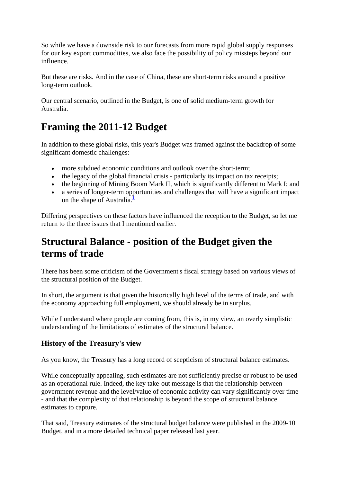So while we have a downside risk to our forecasts from more rapid global supply responses for our key export commodities, we also face the possibility of policy missteps beyond our influence.

But these are risks. And in the case of China, these are short-term risks around a positive long-term outlook.

Our central scenario, outlined in the Budget, is one of solid medium-term growth for Australia.

## **Framing the 2011-12 Budget**

In addition to these global risks, this year's Budget was framed against the backdrop of some significant domestic challenges:

- more subdued economic conditions and outlook over the short-term;
- the legacy of the global financial crisis particularly its impact on tax receipts;
- the beginning of Mining Boom Mark II, which is significantly different to Mark I; and
- a series of longer-term opportunities and challenges that will have a significant impact on the shape of Australia. $\frac{1}{2}$

Differing perspectives on these factors have influenced the reception to the Budget, so let me return to the three issues that I mentioned earlier.

### **Structural Balance - position of the Budget given the terms of trade**

There has been some criticism of the Government's fiscal strategy based on various views of the structural position of the Budget.

In short, the argument is that given the historically high level of the terms of trade, and with the economy approaching full employment, we should already be in surplus.

While I understand where people are coming from, this is, in my view, an overly simplistic understanding of the limitations of estimates of the structural balance.

### **History of the Treasury's view**

As you know, the Treasury has a long record of scepticism of structural balance estimates.

While conceptually appealing, such estimates are not sufficiently precise or robust to be used as an operational rule. Indeed, the key take-out message is that the relationship between government revenue and the level/value of economic activity can vary significantly over time - and that the complexity of that relationship is beyond the scope of structural balance estimates to capture.

That said, Treasury estimates of the structural budget balance were published in the 2009-10 Budget, and in a more detailed technical paper released last year.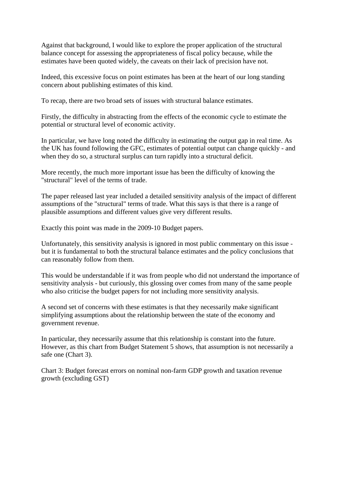Against that background, I would like to explore the proper application of the structural balance concept for assessing the appropriateness of fiscal policy because, while the estimates have been quoted widely, the caveats on their lack of precision have not.

Indeed, this excessive focus on point estimates has been at the heart of our long standing concern about publishing estimates of this kind.

To recap, there are two broad sets of issues with structural balance estimates.

Firstly, the difficulty in abstracting from the effects of the economic cycle to estimate the potential or structural level of economic activity.

In particular, we have long noted the difficulty in estimating the output gap in real time. As the UK has found following the GFC, estimates of potential output can change quickly - and when they do so, a structural surplus can turn rapidly into a structural deficit.

More recently, the much more important issue has been the difficulty of knowing the "structural" level of the terms of trade.

The paper released last year included a detailed sensitivity analysis of the impact of different assumptions of the "structural" terms of trade. What this says is that there is a range of plausible assumptions and different values give very different results.

Exactly this point was made in the 2009-10 Budget papers.

Unfortunately, this sensitivity analysis is ignored in most public commentary on this issue but it is fundamental to both the structural balance estimates and the policy conclusions that can reasonably follow from them.

This would be understandable if it was from people who did not understand the importance of sensitivity analysis - but curiously, this glossing over comes from many of the same people who also criticise the budget papers for not including more sensitivity analysis.

A second set of concerns with these estimates is that they necessarily make significant simplifying assumptions about the relationship between the state of the economy and government revenue.

In particular, they necessarily assume that this relationship is constant into the future. However, as this chart from Budget Statement 5 shows, that assumption is not necessarily a safe one (Chart 3).

Chart 3: Budget forecast errors on nominal non-farm GDP growth and taxation revenue growth (excluding GST)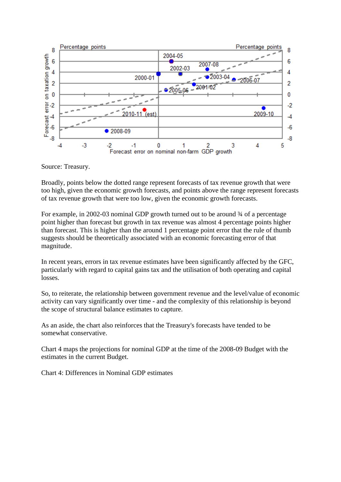

Source: Treasury.

Broadly, points below the dotted range represent forecasts of tax revenue growth that were too high, given the economic growth forecasts, and points above the range represent forecasts of tax revenue growth that were too low, given the economic growth forecasts.

For example, in 2002-03 nominal GDP growth turned out to be around ¾ of a percentage point higher than forecast but growth in tax revenue was almost 4 percentage points higher than forecast. This is higher than the around 1 percentage point error that the rule of thumb suggests should be theoretically associated with an economic forecasting error of that magnitude.

In recent years, errors in tax revenue estimates have been significantly affected by the GFC, particularly with regard to capital gains tax and the utilisation of both operating and capital losses.

So, to reiterate, the relationship between government revenue and the level/value of economic activity can vary significantly over time - and the complexity of this relationship is beyond the scope of structural balance estimates to capture.

As an aside, the chart also reinforces that the Treasury's forecasts have tended to be somewhat conservative.

Chart 4 maps the projections for nominal GDP at the time of the 2008-09 Budget with the estimates in the current Budget.

Chart 4: Differences in Nominal GDP estimates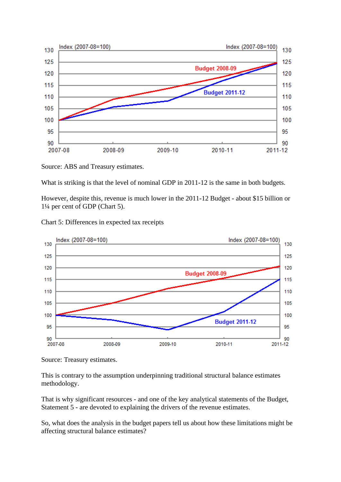

Source: ABS and Treasury estimates.

What is striking is that the level of nominal GDP in 2011-12 is the same in both budgets.

However, despite this, revenue is much lower in the 2011-12 Budget - about \$15 billion or 1¼ per cent of GDP (Chart 5).

Chart 5: Differences in expected tax receipts



Source: Treasury estimates.

This is contrary to the assumption underpinning traditional structural balance estimates methodology.

That is why significant resources - and one of the key analytical statements of the Budget, Statement 5 - are devoted to explaining the drivers of the revenue estimates.

So, what does the analysis in the budget papers tell us about how these limitations might be affecting structural balance estimates?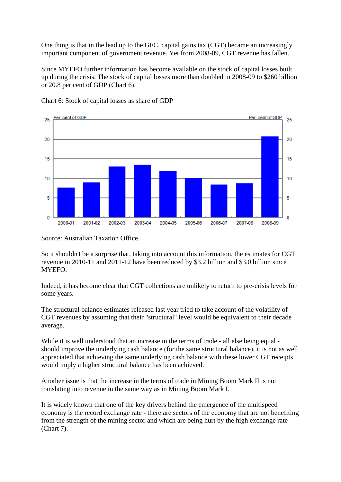One thing is that in the lead up to the GFC, capital gains tax (CGT) became an increasingly important component of government revenue. Yet from 2008-09, CGT revenue has fallen.

Since MYEFO further information has become available on the stock of capital losses built up during the crisis. The stock of capital losses more than doubled in 2008-09 to \$260 billion or 20.8 per cent of GDP (Chart 6).



Chart 6: Stock of capital losses as share of GDP

Source: Australian Taxation Office.

So it shouldn't be a surprise that, taking into account this information, the estimates for CGT revenue in 2010-11 and 2011-12 have been reduced by \$3.2 billion and \$3.0 billion since MYEFO.

Indeed, it has become clear that CGT collections are unlikely to return to pre-crisis levels for some years.

The structural balance estimates released last year tried to take account of the volatility of CGT revenues by assuming that their "structural" level would be equivalent to their decade average.

While it is well understood that an increase in the terms of trade - all else being equal should improve the underlying cash balance (for the same structural balance), it is not as well appreciated that achieving the same underlying cash balance with these lower CGT receipts would imply a higher structural balance has been achieved.

Another issue is that the increase in the terms of trade in Mining Boom Mark II is not translating into revenue in the same way as in Mining Boom Mark I.

It is widely known that one of the key drivers behind the emergence of the multispeed economy is the record exchange rate - there are sectors of the economy that are not benefiting from the strength of the mining sector and which are being hurt by the high exchange rate (Chart 7).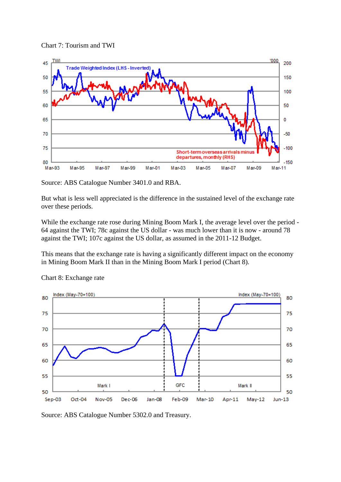



Source: ABS Catalogue Number 3401.0 and RBA.

But what is less well appreciated is the difference in the sustained level of the exchange rate over these periods.

While the exchange rate rose during Mining Boom Mark I, the average level over the period -64 against the TWI; 78c against the US dollar - was much lower than it is now - around 78 against the TWI; 107c against the US dollar, as assumed in the 2011-12 Budget.

This means that the exchange rate is having a significantly different impact on the economy in Mining Boom Mark II than in the Mining Boom Mark I period (Chart 8).



Chart 8: Exchange rate

Source: ABS Catalogue Number 5302.0 and Treasury.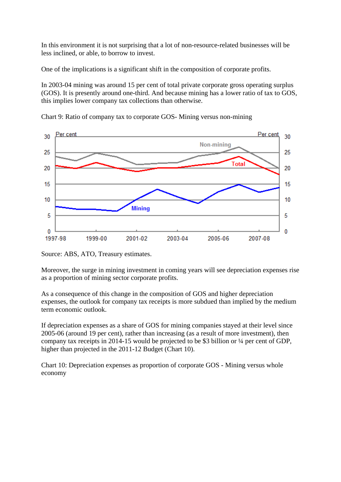In this environment it is not surprising that a lot of non-resource-related businesses will be less inclined, or able, to borrow to invest.

One of the implications is a significant shift in the composition of corporate profits.

In 2003-04 mining was around 15 per cent of total private corporate gross operating surplus (GOS). It is presently around one-third. And because mining has a lower ratio of tax to GOS, this implies lower company tax collections than otherwise.



Chart 9: Ratio of company tax to corporate GOS- Mining versus non-mining

Source: ABS, ATO, Treasury estimates.

Moreover, the surge in mining investment in coming years will see depreciation expenses rise as a proportion of mining sector corporate profits.

As a consequence of this change in the composition of GOS and higher depreciation expenses, the outlook for company tax receipts is more subdued than implied by the medium term economic outlook.

If depreciation expenses as a share of GOS for mining companies stayed at their level since 2005-06 (around 19 per cent), rather than increasing (as a result of more investment), then company tax receipts in 2014-15 would be projected to be \$3 billion or ¼ per cent of GDP, higher than projected in the 2011-12 Budget (Chart 10).

Chart 10: Depreciation expenses as proportion of corporate GOS - Mining versus whole economy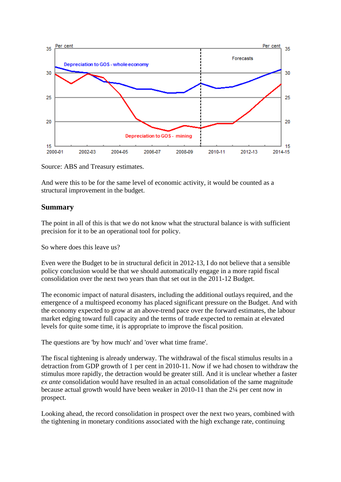

Source: ABS and Treasury estimates.

And were this to be for the same level of economic activity, it would be counted as a structural improvement in the budget.

#### **Summary**

The point in all of this is that we do not know what the structural balance is with sufficient precision for it to be an operational tool for policy.

So where does this leave us?

Even were the Budget to be in structural deficit in 2012-13, I do not believe that a sensible policy conclusion would be that we should automatically engage in a more rapid fiscal consolidation over the next two years than that set out in the 2011-12 Budget.

The economic impact of natural disasters, including the additional outlays required, and the emergence of a multispeed economy has placed significant pressure on the Budget. And with the economy expected to grow at an above-trend pace over the forward estimates, the labour market edging toward full capacity and the terms of trade expected to remain at elevated levels for quite some time, it is appropriate to improve the fiscal position.

The questions are 'by how much' and 'over what time frame'.

The fiscal tightening is already underway. The withdrawal of the fiscal stimulus results in a detraction from GDP growth of 1 per cent in 2010-11. Now if we had chosen to withdraw the stimulus more rapidly, the detraction would be greater still. And it is unclear whether a faster *ex ante* consolidation would have resulted in an actual consolidation of the same magnitude because actual growth would have been weaker in 2010-11 than the 2¼ per cent now in prospect.

Looking ahead, the record consolidation in prospect over the next two years, combined with the tightening in monetary conditions associated with the high exchange rate, continuing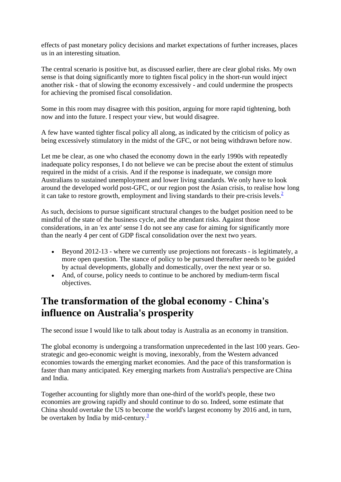effects of past monetary policy decisions and market expectations of further increases, places us in an interesting situation.

The central scenario is positive but, as discussed earlier, there are clear global risks. My own sense is that doing significantly more to tighten fiscal policy in the short-run would inject another risk - that of slowing the economy excessively - and could undermine the prospects for achieving the promised fiscal consolidation.

Some in this room may disagree with this position, arguing for more rapid tightening, both now and into the future. I respect your view, but would disagree.

A few have wanted tighter fiscal policy all along, as indicated by the criticism of policy as being excessively stimulatory in the midst of the GFC, or not being withdrawn before now.

Let me be clear, as one who chased the economy down in the early 1990s with repeatedly inadequate policy responses, I do not believe we can be precise about the extent of stimulus required in the midst of a crisis. And if the response is inadequate, we consign more Australians to sustained unemployment and lower living standards. We only have to look around the developed world post-GFC, or our region post the Asian crisis, to realise how long it can take to restore growth, employment and living standards to their pre-crisis levels. $<sup>2</sup>$ </sup>

As such, decisions to pursue significant structural changes to the budget position need to be mindful of the state of the business cycle, and the attendant risks. Against those considerations, in an 'ex ante' sense I do not see any case for aiming for significantly more than the nearly 4 per cent of GDP fiscal consolidation over the next two years.

- Beyond 2012-13 where we currently use projections not forecasts is legitimately, a more open question. The stance of policy to be pursued thereafter needs to be guided by actual developments, globally and domestically, over the next year or so.
- And, of course, policy needs to continue to be anchored by medium-term fiscal objectives.

### **The transformation of the global economy - China's influence on Australia's prosperity**

The second issue I would like to talk about today is Australia as an economy in transition.

The global economy is undergoing a transformation unprecedented in the last 100 years. Geostrategic and geo-economic weight is moving, inexorably, from the Western advanced economies towards the emerging market economies. And the pace of this transformation is faster than many anticipated. Key emerging markets from Australia's perspective are China and India.

Together accounting for slightly more than one-third of the world's people, these two economies are growing rapidly and should continue to do so. Indeed, some estimate that China should overtake the US to become the world's largest economy by 2016 and, in turn, be overtaken by India by mid-century. $\frac{3}{2}$  $\frac{3}{2}$  $\frac{3}{2}$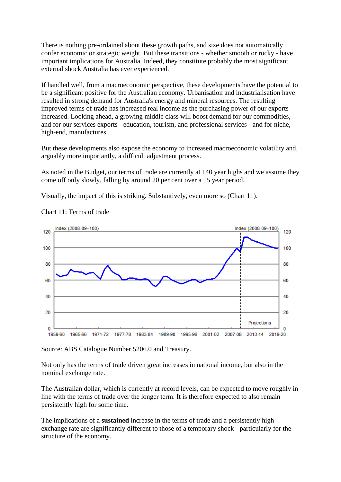There is nothing pre-ordained about these growth paths, and size does not automatically confer economic or strategic weight. But these transitions - whether smooth or rocky - have important implications for Australia. Indeed, they constitute probably the most significant external shock Australia has ever experienced.

If handled well, from a macroeconomic perspective, these developments have the potential to be a significant positive for the Australian economy. Urbanisation and industrialisation have resulted in strong demand for Australia's energy and mineral resources. The resulting improved terms of trade has increased real income as the purchasing power of our exports increased. Looking ahead, a growing middle class will boost demand for our commodities, and for our services exports - education, tourism, and professional services - and for niche, high-end, manufactures.

But these developments also expose the economy to increased macroeconomic volatility and, arguably more importantly, a difficult adjustment process.

As noted in the Budget, our terms of trade are currently at 140 year highs and we assume they come off only slowly, falling by around 20 per cent over a 15 year period.

Visually, the impact of this is striking. Substantively, even more so (Chart 11).



Chart 11: Terms of trade

Source: ABS Catalogue Number 5206.0 and Treasury.

Not only has the terms of trade driven great increases in national income, but also in the nominal exchange rate.

The Australian dollar, which is currently at record levels, can be expected to move roughly in line with the terms of trade over the longer term. It is therefore expected to also remain persistently high for some time.

The implications of a **sustained** increase in the terms of trade and a persistently high exchange rate are significantly different to those of a temporary shock - particularly for the structure of the economy.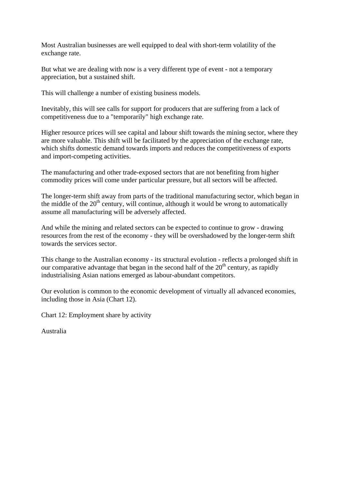Most Australian businesses are well equipped to deal with short-term volatility of the exchange rate.

But what we are dealing with now is a very different type of event - not a temporary appreciation, but a sustained shift.

This will challenge a number of existing business models.

Inevitably, this will see calls for support for producers that are suffering from a lack of competitiveness due to a "temporarily" high exchange rate.

Higher resource prices will see capital and labour shift towards the mining sector, where they are more valuable. This shift will be facilitated by the appreciation of the exchange rate, which shifts domestic demand towards imports and reduces the competitiveness of exports and import-competing activities.

The manufacturing and other trade-exposed sectors that are not benefiting from higher commodity prices will come under particular pressure, but all sectors will be affected.

The longer-term shift away from parts of the traditional manufacturing sector, which began in the middle of the  $20<sup>th</sup>$  century, will continue, although it would be wrong to automatically assume all manufacturing will be adversely affected.

And while the mining and related sectors can be expected to continue to grow - drawing resources from the rest of the economy - they will be overshadowed by the longer-term shift towards the services sector.

This change to the Australian economy - its structural evolution - reflects a prolonged shift in our comparative advantage that began in the second half of the  $20<sup>th</sup>$  century, as rapidly industrialising Asian nations emerged as labour-abundant competitors.

Our evolution is common to the economic development of virtually all advanced economies, including those in Asia (Chart 12).

Chart 12: Employment share by activity

Australia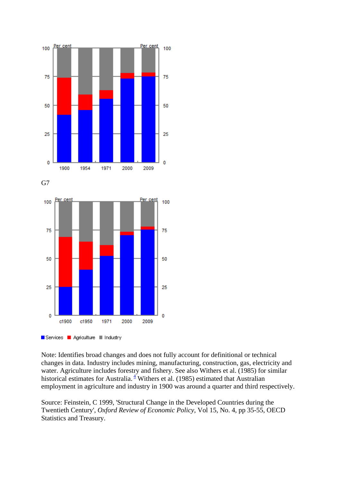

Services **E** Agriculture **E** Industry

Note: Identifies broad changes and does not fully account for definitional or technical changes in data. Industry includes mining, manufacturing, construction, gas, electricity and water. Agriculture includes forestry and fishery. See also Withers et al. (1985) for similar historical estimates for Australia. $\frac{4}{3}$  $\frac{4}{3}$  $\frac{4}{3}$  Withers et al. (1985) estimated that Australian employment in agriculture and industry in 1900 was around a quarter and third respectively.

Source: Feinstein, C 1999, 'Structural Change in the Developed Countries during the Twentieth Century', *Oxford Review of Economic Policy*, Vol 15, No. 4, pp 35-55, OECD Statistics and Treasury.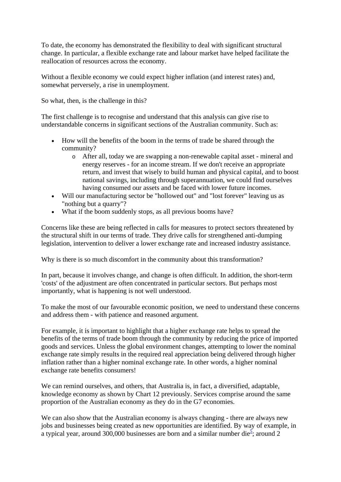To date, the economy has demonstrated the flexibility to deal with significant structural change. In particular, a flexible exchange rate and labour market have helped facilitate the reallocation of resources across the economy.

Without a flexible economy we could expect higher inflation (and interest rates) and, somewhat perversely, a rise in unemployment.

So what, then, is the challenge in this?

The first challenge is to recognise and understand that this analysis can give rise to understandable concerns in significant sections of the Australian community. Such as:

- How will the benefits of the boom in the terms of trade be shared through the community?
	- o After all, today we are swapping a non-renewable capital asset mineral and energy reserves - for an income stream. If we don't receive an appropriate return, and invest that wisely to build human and physical capital, and to boost national savings, including through superannuation, we could find ourselves having consumed our assets and be faced with lower future incomes.
- Will our manufacturing sector be "hollowed out" and "lost forever" leaving us as "nothing but a quarry"?
- What if the boom suddenly stops, as all previous booms have?

Concerns like these are being reflected in calls for measures to protect sectors threatened by the structural shift in our terms of trade. They drive calls for strengthened anti-dumping legislation, intervention to deliver a lower exchange rate and increased industry assistance.

Why is there is so much discomfort in the community about this transformation?

In part, because it involves change, and change is often difficult. In addition, the short-term 'costs' of the adjustment are often concentrated in particular sectors. But perhaps most importantly, what is happening is not well understood.

To make the most of our favourable economic position, we need to understand these concerns and address them - with patience and reasoned argument.

For example, it is important to highlight that a higher exchange rate helps to spread the benefits of the terms of trade boom through the community by reducing the price of imported goods and services. Unless the global environment changes, attempting to lower the nominal exchange rate simply results in the required real appreciation being delivered through higher inflation rather than a higher nominal exchange rate. In other words, a higher nominal exchange rate benefits consumers!

We can remind ourselves, and others, that Australia is, in fact, a diversified, adaptable, knowledge economy as shown by Chart 12 previously. Services comprise around the same proportion of the Australian economy as they do in the G7 economies.

We can also show that the Australian economy is always changing - there are always new jobs and businesses being created as new opportunities are identified. By way of example, in a typical year, around 300,000 businesses are born and a similar number die<sup>[5](http://www.treasury.gov.au/PublicationsAndMedia/Speeches/2011/Opportunities-challenges-and-implications%23P206_29229)</sup>; around 2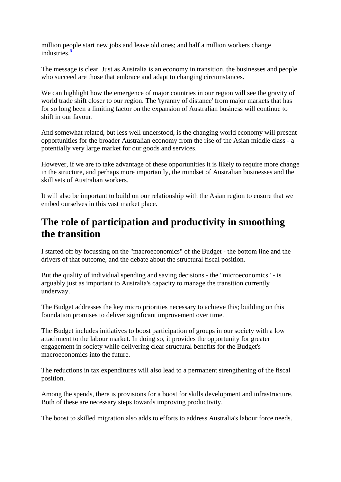million people start new jobs and leave old ones; and half a million workers change industries  $\frac{6}{5}$ 

The message is clear. Just as Australia is an economy in transition, the businesses and people who succeed are those that embrace and adapt to changing circumstances.

We can highlight how the emergence of major countries in our region will see the gravity of world trade shift closer to our region. The 'tyranny of distance' from major markets that has for so long been a limiting factor on the expansion of Australian business will continue to shift in our favour.

And somewhat related, but less well understood, is the changing world economy will present opportunities for the broader Australian economy from the rise of the Asian middle class - a potentially very large market for our goods and services.

However, if we are to take advantage of these opportunities it is likely to require more change in the structure, and perhaps more importantly, the mindset of Australian businesses and the skill sets of Australian workers.

It will also be important to build on our relationship with the Asian region to ensure that we embed ourselves in this vast market place.

### **The role of participation and productivity in smoothing the transition**

I started off by focussing on the "macroeconomics" of the Budget - the bottom line and the drivers of that outcome, and the debate about the structural fiscal position.

But the quality of individual spending and saving decisions - the "microeconomics" - is arguably just as important to Australia's capacity to manage the transition currently underway.

The Budget addresses the key micro priorities necessary to achieve this; building on this foundation promises to deliver significant improvement over time.

The Budget includes initiatives to boost participation of groups in our society with a low attachment to the labour market. In doing so, it provides the opportunity for greater engagement in society while delivering clear structural benefits for the Budget's macroeconomics into the future.

The reductions in tax expenditures will also lead to a permanent strengthening of the fiscal position.

Among the spends, there is provisions for a boost for skills development and infrastructure. Both of these are necessary steps towards improving productivity.

The boost to skilled migration also adds to efforts to address Australia's labour force needs.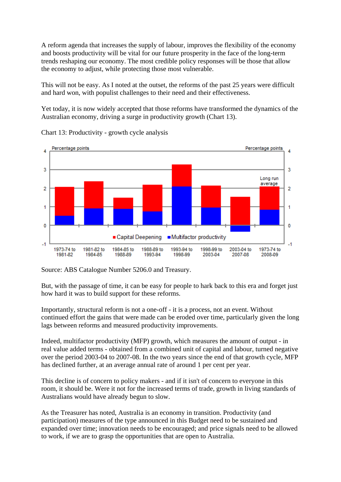A reform agenda that increases the supply of labour, improves the flexibility of the economy and boosts productivity will be vital for our future prosperity in the face of the long-term trends reshaping our economy. The most credible policy responses will be those that allow the economy to adjust, while protecting those most vulnerable.

This will not be easy. As I noted at the outset, the reforms of the past 25 years were difficult and hard won, with populist challenges to their need and their effectiveness.

Yet today, it is now widely accepted that those reforms have transformed the dynamics of the Australian economy, driving a surge in productivity growth (Chart 13).



Chart 13: Productivity - growth cycle analysis

Source: ABS Catalogue Number 5206.0 and Treasury.

But, with the passage of time, it can be easy for people to hark back to this era and forget just how hard it was to build support for these reforms.

Importantly, structural reform is not a one-off - it is a process, not an event. Without continued effort the gains that were made can be eroded over time, particularly given the long lags between reforms and measured productivity improvements.

Indeed, multifactor productivity (MFP) growth, which measures the amount of output - in real value added terms - obtained from a combined unit of capital and labour, turned negative over the period 2003-04 to 2007-08. In the two years since the end of that growth cycle, MFP has declined further, at an average annual rate of around 1 per cent per year.

This decline is of concern to policy makers - and if it isn't of concern to everyone in this room, it should be. Were it not for the increased terms of trade, growth in living standards of Australians would have already begun to slow.

As the Treasurer has noted, Australia is an economy in transition. Productivity (and participation) measures of the type announced in this Budget need to be sustained and expanded over time; innovation needs to be encouraged; and price signals need to be allowed to work, if we are to grasp the opportunities that are open to Australia.